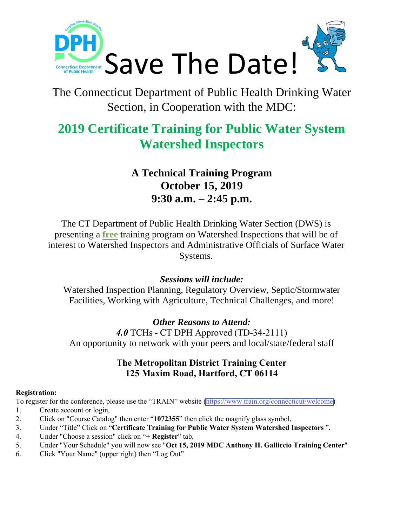

# The Connecticut Department of Public Health Drinking Water Section, in Cooperation with the MDC:

# **2019 Certificate Training for Public Water System Watershed Inspectors**

# **A Technical Training Program October 15, 2019 9:30 a.m. – 2:45 p.m.**

The CT Department of Public Health Drinking Water Section (DWS) is presenting a **free** training program on Watershed Inspections that will be of interest to Watershed Inspectors and Administrative Officials of Surface Water Systems.

## *Sessions will include:*

Watershed Inspection Planning, Regulatory Overview, Septic/Stormwater Facilities, Working with Agriculture, Technical Challenges, and more!

## *Other Reasons to Attend:*

*4.0* TCHs - CT DPH Approved (TD-34-2111) An opportunity to network with your peers and local/state/federal staff

### T**he Metropolitan District Training Center 125 Maxim Road, Hartford, CT 06114**

#### **Registration:**

To register for the conference, please use the "TRAIN" website (https://www.train.org/connecticut/welcome)

- 1. Create account or login,
- 2. Click on "Course Catalog" then enter "**1072355**" then click the magnify glass symbol,
- 3. Under "Title" Click on "**Certificate Training for Public Water System Watershed Inspectors** ",
- 4. Under "Choose a session" click on "**+ Register**" tab,
- 5. Under "Your Schedule" you will now see "**Oct 15, 2019 MDC Anthony H. Galliccio Training Center**"
- 6. Click "Your Name" (upper right) then "Log Out"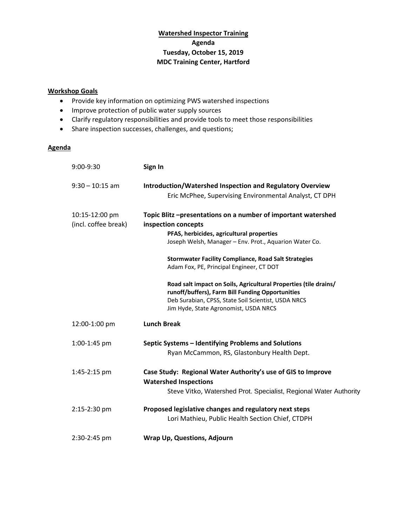#### **Watershed Inspector Training Agenda Tuesday, October 15, 2019 MDC Training Center, Hartford**

#### **Workshop Goals**

- Provide key information on optimizing PWS watershed inspections
- Improve protection of public water supply sources
- Clarify regulatory responsibilities and provide tools to meet those responsibilities
- Share inspection successes, challenges, and questions;

#### **Agenda**

| $9:00-9:30$          | Sign In                                                                                      |
|----------------------|----------------------------------------------------------------------------------------------|
| $9:30 - 10:15$ am    | Introduction/Watershed Inspection and Regulatory Overview                                    |
|                      | Eric McPhee, Supervising Environmental Analyst, CT DPH                                       |
| 10:15-12:00 pm       | Topic Blitz-presentations on a number of important watershed                                 |
| (incl. coffee break) | inspection concepts                                                                          |
|                      | PFAS, herbicides, agricultural properties                                                    |
|                      | Joseph Welsh, Manager - Env. Prot., Aquarion Water Co.                                       |
|                      | <b>Stormwater Facility Compliance, Road Salt Strategies</b>                                  |
|                      | Adam Fox, PE, Principal Engineer, CT DOT                                                     |
|                      | Road salt impact on Soils, Agricultural Properties (tile drains/                             |
|                      | runoff/buffers), Farm Bill Funding Opportunities                                             |
|                      | Deb Surabian, CPSS, State Soil Scientist, USDA NRCS<br>Jim Hyde, State Agronomist, USDA NRCS |
| 12:00-1:00 pm        | <b>Lunch Break</b>                                                                           |
| 1:00-1:45 pm         | Septic Systems - Identifying Problems and Solutions                                          |
|                      | Ryan McCammon, RS, Glastonbury Health Dept.                                                  |
| 1:45-2:15 pm         | Case Study: Regional Water Authority's use of GIS to Improve<br><b>Watershed Inspections</b> |
|                      | Steve Vitko, Watershed Prot. Specialist, Regional Water Authority                            |
| 2:15-2:30 pm         | Proposed legislative changes and regulatory next steps                                       |
|                      | Lori Mathieu, Public Health Section Chief, CTDPH                                             |
| 2:30-2:45 pm         | <b>Wrap Up, Questions, Adjourn</b>                                                           |